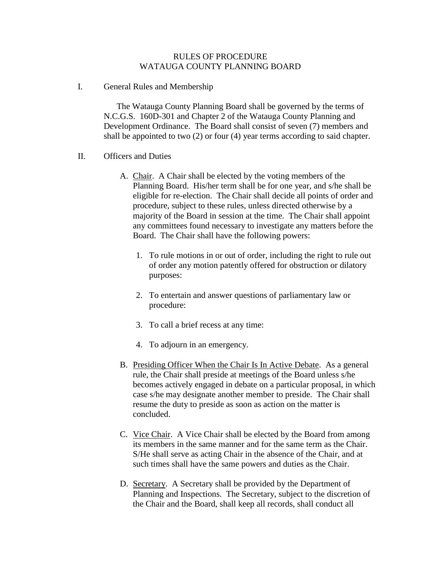## RULES OF PROCEDURE WATAUGA COUNTY PLANNING BOARD

I. General Rules and Membership

The Watauga County Planning Board shall be governed by the terms of N.C.G.S. 160D-301 and Chapter 2 of the Watauga County Planning and Development Ordinance. The Board shall consist of seven (7) members and shall be appointed to two (2) or four (4) year terms according to said chapter.

- II. Officers and Duties
	- A. Chair. A Chair shall be elected by the voting members of the Planning Board. His/her term shall be for one year, and s/he shall be eligible for re-election. The Chair shall decide all points of order and procedure, subject to these rules, unless directed otherwise by a majority of the Board in session at the time. The Chair shall appoint any committees found necessary to investigate any matters before the Board. The Chair shall have the following powers:
		- 1. To rule motions in or out of order, including the right to rule out of order any motion patently offered for obstruction or dilatory purposes:
		- 2. To entertain and answer questions of parliamentary law or procedure:
		- 3. To call a brief recess at any time:
		- 4. To adjourn in an emergency.
	- B. Presiding Officer When the Chair Is In Active Debate. As a general rule, the Chair shall preside at meetings of the Board unless s/he becomes actively engaged in debate on a particular proposal, in which case s/he may designate another member to preside. The Chair shall resume the duty to preside as soon as action on the matter is concluded.
	- C. Vice Chair. A Vice Chair shall be elected by the Board from among its members in the same manner and for the same term as the Chair. S/He shall serve as acting Chair in the absence of the Chair, and at such times shall have the same powers and duties as the Chair.
	- D. Secretary. A Secretary shall be provided by the Department of Planning and Inspections. The Secretary, subject to the discretion of the Chair and the Board, shall keep all records, shall conduct all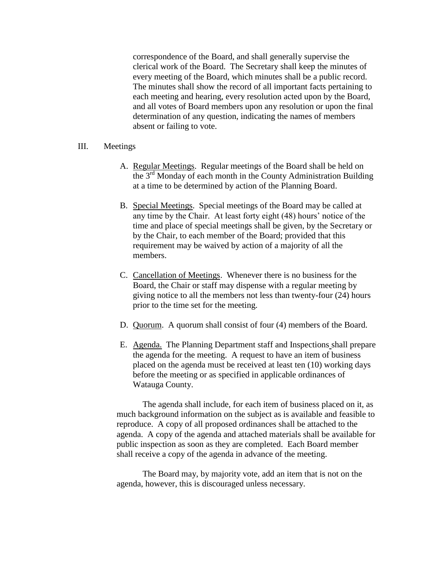correspondence of the Board, and shall generally supervise the clerical work of the Board. The Secretary shall keep the minutes of every meeting of the Board, which minutes shall be a public record. The minutes shall show the record of all important facts pertaining to each meeting and hearing, every resolution acted upon by the Board, and all votes of Board members upon any resolution or upon the final determination of any question, indicating the names of members absent or failing to vote.

#### III. Meetings

- A. Regular Meetings. Regular meetings of the Board shall be held on the 3rd Monday of each month in the County Administration Building at a time to be determined by action of the Planning Board.
- B. Special Meetings. Special meetings of the Board may be called at any time by the Chair. At least forty eight (48) hours' notice of the time and place of special meetings shall be given, by the Secretary or by the Chair, to each member of the Board; provided that this requirement may be waived by action of a majority of all the members.
- C. Cancellation of Meetings. Whenever there is no business for the Board, the Chair or staff may dispense with a regular meeting by giving notice to all the members not less than twenty-four (24) hours prior to the time set for the meeting.
- D. Quorum. A quorum shall consist of four (4) members of the Board.
- E. Agenda. The Planning Department staff and Inspections shall prepare the agenda for the meeting. A request to have an item of business placed on the agenda must be received at least ten (10) working days before the meeting or as specified in applicable ordinances of Watauga County.

The agenda shall include, for each item of business placed on it, as much background information on the subject as is available and feasible to reproduce. A copy of all proposed ordinances shall be attached to the agenda. A copy of the agenda and attached materials shall be available for public inspection as soon as they are completed. Each Board member shall receive a copy of the agenda in advance of the meeting.

The Board may, by majority vote, add an item that is not on the agenda, however, this is discouraged unless necessary.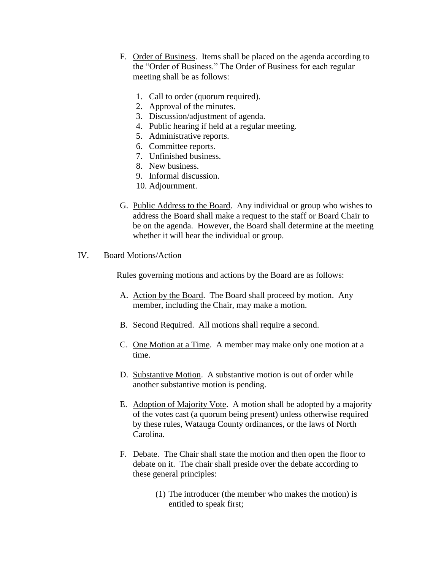- F. Order of Business. Items shall be placed on the agenda according to the "Order of Business." The Order of Business for each regular meeting shall be as follows:
	- 1. Call to order (quorum required).
	- 2. Approval of the minutes.
	- 3. Discussion/adjustment of agenda.
	- 4. Public hearing if held at a regular meeting.
	- 5. Administrative reports.
	- 6. Committee reports.
	- 7. Unfinished business.
	- 8. New business.
	- 9. Informal discussion.
	- 10. Adjournment.
- G. Public Address to the Board. Any individual or group who wishes to address the Board shall make a request to the staff or Board Chair to be on the agenda. However, the Board shall determine at the meeting whether it will hear the individual or group.
- IV. Board Motions/Action

Rules governing motions and actions by the Board are as follows:

- A. Action by the Board. The Board shall proceed by motion. Any member, including the Chair, may make a motion.
- B. Second Required. All motions shall require a second.
- C. One Motion at a Time. A member may make only one motion at a time.
- D. Substantive Motion. A substantive motion is out of order while another substantive motion is pending.
- E. Adoption of Majority Vote. A motion shall be adopted by a majority of the votes cast (a quorum being present) unless otherwise required by these rules, Watauga County ordinances, or the laws of North Carolina.
- F. Debate. The Chair shall state the motion and then open the floor to debate on it. The chair shall preside over the debate according to these general principles:
	- (1) The introducer (the member who makes the motion) is entitled to speak first;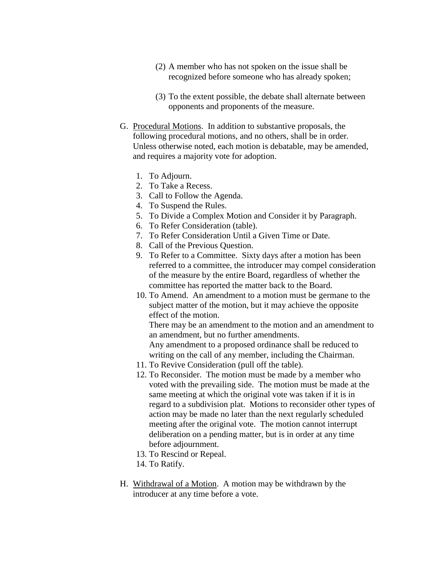- (2) A member who has not spoken on the issue shall be recognized before someone who has already spoken;
- (3) To the extent possible, the debate shall alternate between opponents and proponents of the measure.
- G. Procedural Motions. In addition to substantive proposals, the following procedural motions, and no others, shall be in order. Unless otherwise noted, each motion is debatable, may be amended, and requires a majority vote for adoption.
	- 1. To Adjourn.
	- 2. To Take a Recess.
	- 3. Call to Follow the Agenda.
	- 4. To Suspend the Rules.
	- 5. To Divide a Complex Motion and Consider it by Paragraph.
	- 6. To Refer Consideration (table).
	- 7. To Refer Consideration Until a Given Time or Date.
	- 8. Call of the Previous Question.
	- 9. To Refer to a Committee. Sixty days after a motion has been referred to a committee, the introducer may compel consideration of the measure by the entire Board, regardless of whether the committee has reported the matter back to the Board.
	- 10. To Amend. An amendment to a motion must be germane to the subject matter of the motion, but it may achieve the opposite effect of the motion.

There may be an amendment to the motion and an amendment to an amendment, but no further amendments.

Any amendment to a proposed ordinance shall be reduced to writing on the call of any member, including the Chairman.

- 11. To Revive Consideration (pull off the table).
- 12. To Reconsider. The motion must be made by a member who voted with the prevailing side. The motion must be made at the same meeting at which the original vote was taken if it is in regard to a subdivision plat. Motions to reconsider other types of action may be made no later than the next regularly scheduled meeting after the original vote. The motion cannot interrupt deliberation on a pending matter, but is in order at any time before adjournment.
- 13. To Rescind or Repeal.
- 14. To Ratify.
- H. Withdrawal of a Motion. A motion may be withdrawn by the introducer at any time before a vote.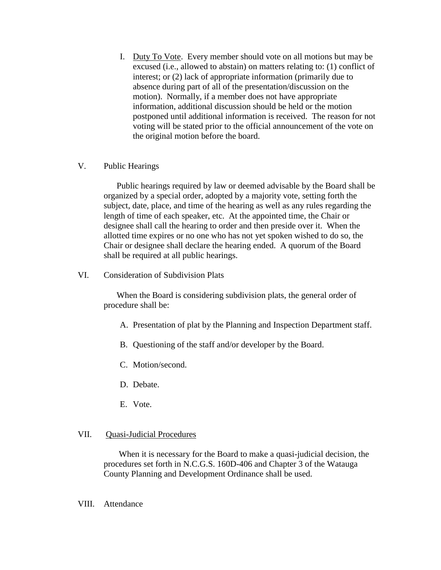I. Duty To Vote. Every member should vote on all motions but may be excused (i.e., allowed to abstain) on matters relating to: (1) conflict of interest; or (2) lack of appropriate information (primarily due to absence during part of all of the presentation/discussion on the motion). Normally, if a member does not have appropriate information, additional discussion should be held or the motion postponed until additional information is received. The reason for not voting will be stated prior to the official announcement of the vote on the original motion before the board.

# V. Public Hearings

Public hearings required by law or deemed advisable by the Board shall be organized by a special order, adopted by a majority vote, setting forth the subject, date, place, and time of the hearing as well as any rules regarding the length of time of each speaker, etc. At the appointed time, the Chair or designee shall call the hearing to order and then preside over it. When the allotted time expires or no one who has not yet spoken wished to do so, the Chair or designee shall declare the hearing ended. A quorum of the Board shall be required at all public hearings.

VI. Consideration of Subdivision Plats

When the Board is considering subdivision plats, the general order of procedure shall be:

- A. Presentation of plat by the Planning and Inspection Department staff.
- B. Questioning of the staff and/or developer by the Board.
- C. Motion/second.
- D. Debate.
- E. Vote.

### VII. Quasi-Judicial Procedures

 When it is necessary for the Board to make a quasi-judicial decision, the procedures set forth in N.C.G.S. 160D-406 and Chapter 3 of the Watauga County Planning and Development Ordinance shall be used.

#### VIII. Attendance